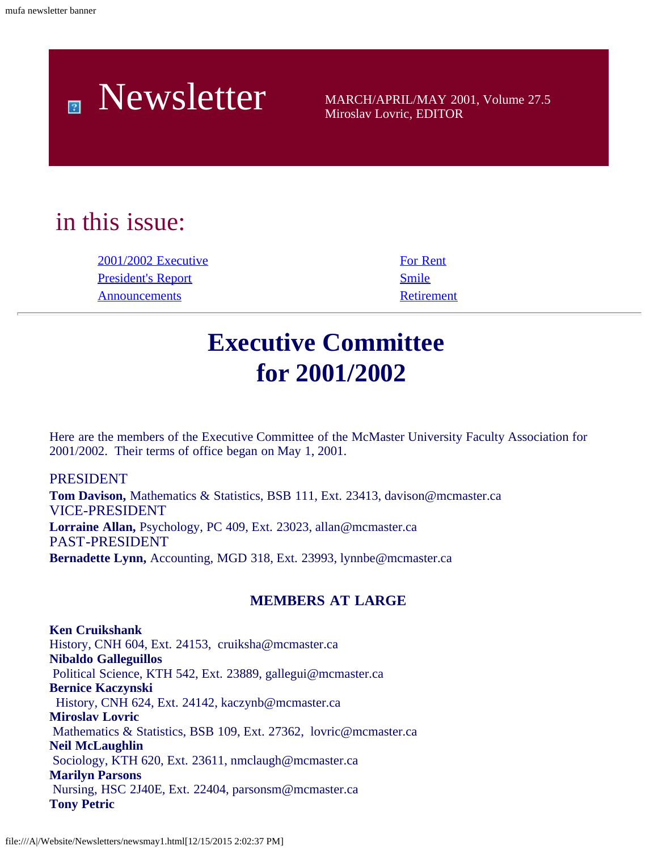

Miroslav Lovric, EDITOR

# in this issue:

[2001/2002 Executive](#page-0-0) [For Rent](#page-6-0) [President's Report](#page-1-0) [Smile](#page-7-0) [Announcements](#page-4-0) [Retirement](#page-7-1)

# **Executive Committee for 2001/2002**

<span id="page-0-0"></span>Here are the members of the Executive Committee of the McMaster University Faculty Association for 2001/2002. Their terms of office began on May 1, 2001.

PRESIDENT **Tom Davison,** Mathematics & Statistics, BSB 111, Ext. 23413, davison@mcmaster.ca VICE-PRESIDENT **Lorraine Allan,** Psychology, PC 409, Ext. 23023, allan@mcmaster.ca PAST-PRESIDENT **Bernadette Lynn,** Accounting, MGD 318, Ext. 23993, lynnbe@mcmaster.ca

### **MEMBERS AT LARGE**

**Ken Cruikshank** History, CNH 604, Ext. 24153, cruiksha@mcmaster.ca **Nibaldo Galleguillos** Political Science, KTH 542, Ext. 23889, gallegui@mcmaster.ca **Bernice Kaczynski** History, CNH 624, Ext. 24142, kaczynb@mcmaster.ca **Miroslav Lovric** Mathematics & Statistics, BSB 109, Ext. 27362, lovric@mcmaster.ca **Neil McLaughlin** Sociology, KTH 620, Ext. 23611, nmclaugh@mcmaster.ca **Marilyn Parsons** Nursing, HSC 2J40E, Ext. 22404, parsonsm@mcmaster.ca **Tony Petric**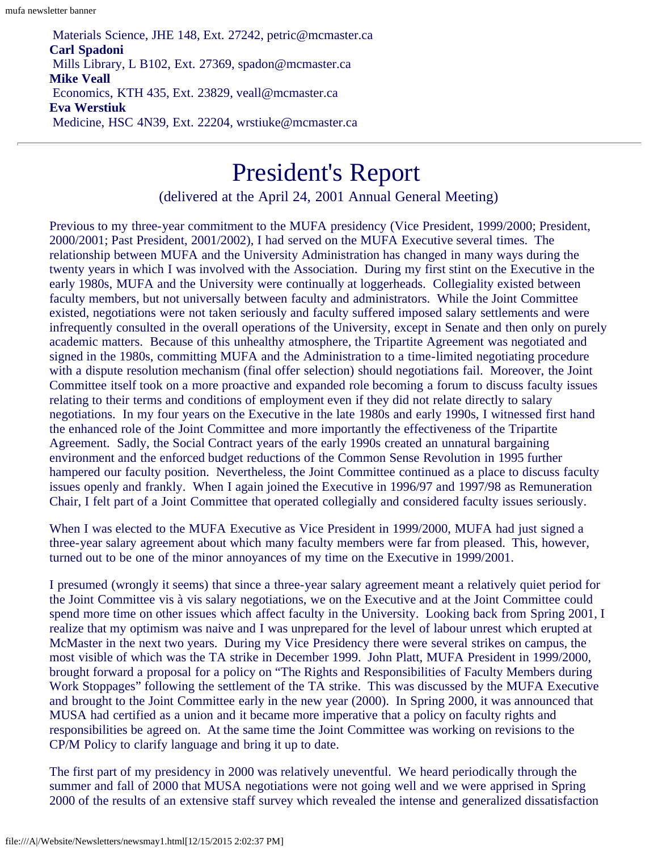Materials Science, JHE 148, Ext. 27242, petric@mcmaster.ca **Carl Spadoni** Mills Library, L B102, Ext. 27369, spadon@mcmaster.ca **Mike Veall** Economics, KTH 435, Ext. 23829, veall@mcmaster.ca **Eva Werstiuk** Medicine, HSC 4N39, Ext. 22204, wrstiuke@mcmaster.ca

# President's Report

(delivered at the April 24, 2001 Annual General Meeting)

<span id="page-1-0"></span>Previous to my three-year commitment to the MUFA presidency (Vice President, 1999/2000; President, 2000/2001; Past President, 2001/2002), I had served on the MUFA Executive several times. The relationship between MUFA and the University Administration has changed in many ways during the twenty years in which I was involved with the Association. During my first stint on the Executive in the early 1980s, MUFA and the University were continually at loggerheads. Collegiality existed between faculty members, but not universally between faculty and administrators. While the Joint Committee existed, negotiations were not taken seriously and faculty suffered imposed salary settlements and were infrequently consulted in the overall operations of the University, except in Senate and then only on purely academic matters. Because of this unhealthy atmosphere, the Tripartite Agreement was negotiated and signed in the 1980s, committing MUFA and the Administration to a time-limited negotiating procedure with a dispute resolution mechanism (final offer selection) should negotiations fail. Moreover, the Joint Committee itself took on a more proactive and expanded role becoming a forum to discuss faculty issues relating to their terms and conditions of employment even if they did not relate directly to salary negotiations. In my four years on the Executive in the late 1980s and early 1990s, I witnessed first hand the enhanced role of the Joint Committee and more importantly the effectiveness of the Tripartite Agreement. Sadly, the Social Contract years of the early 1990s created an unnatural bargaining environment and the enforced budget reductions of the Common Sense Revolution in 1995 further hampered our faculty position. Nevertheless, the Joint Committee continued as a place to discuss faculty issues openly and frankly. When I again joined the Executive in 1996/97 and 1997/98 as Remuneration Chair, I felt part of a Joint Committee that operated collegially and considered faculty issues seriously.

When I was elected to the MUFA Executive as Vice President in 1999/2000, MUFA had just signed a three-year salary agreement about which many faculty members were far from pleased. This, however, turned out to be one of the minor annoyances of my time on the Executive in 1999/2001.

I presumed (wrongly it seems) that since a three-year salary agreement meant a relatively quiet period for the Joint Committee vis à vis salary negotiations, we on the Executive and at the Joint Committee could spend more time on other issues which affect faculty in the University. Looking back from Spring 2001, I realize that my optimism was naive and I was unprepared for the level of labour unrest which erupted at McMaster in the next two years. During my Vice Presidency there were several strikes on campus, the most visible of which was the TA strike in December 1999. John Platt, MUFA President in 1999/2000, brought forward a proposal for a policy on "The Rights and Responsibilities of Faculty Members during Work Stoppages" following the settlement of the TA strike. This was discussed by the MUFA Executive and brought to the Joint Committee early in the new year (2000). In Spring 2000, it was announced that MUSA had certified as a union and it became more imperative that a policy on faculty rights and responsibilities be agreed on. At the same time the Joint Committee was working on revisions to the CP/M Policy to clarify language and bring it up to date.

The first part of my presidency in 2000 was relatively uneventful. We heard periodically through the summer and fall of 2000 that MUSA negotiations were not going well and we were apprised in Spring 2000 of the results of an extensive staff survey which revealed the intense and generalized dissatisfaction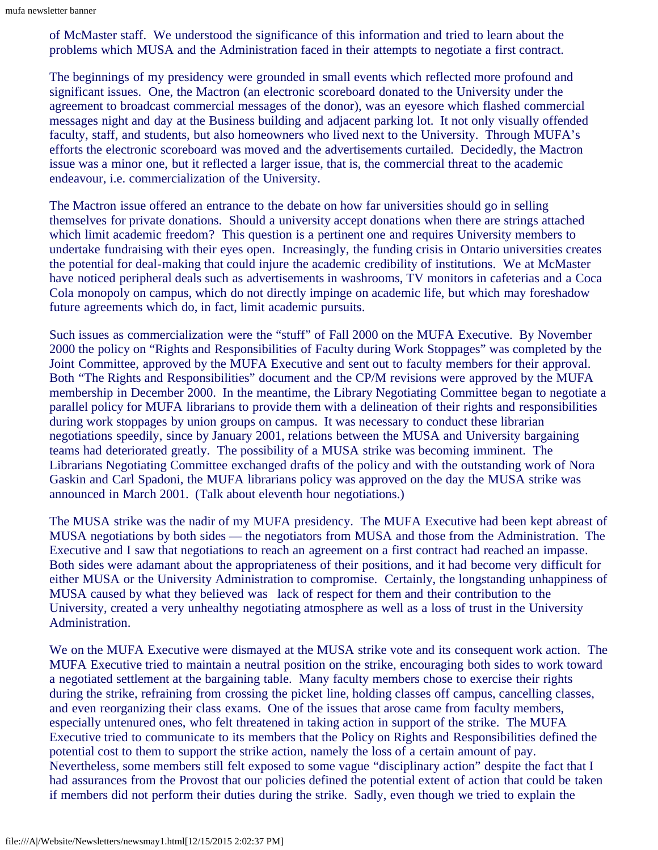of McMaster staff. We understood the significance of this information and tried to learn about the problems which MUSA and the Administration faced in their attempts to negotiate a first contract.

The beginnings of my presidency were grounded in small events which reflected more profound and significant issues. One, the Mactron (an electronic scoreboard donated to the University under the agreement to broadcast commercial messages of the donor), was an eyesore which flashed commercial messages night and day at the Business building and adjacent parking lot. It not only visually offended faculty, staff, and students, but also homeowners who lived next to the University. Through MUFA's efforts the electronic scoreboard was moved and the advertisements curtailed. Decidedly, the Mactron issue was a minor one, but it reflected a larger issue, that is, the commercial threat to the academic endeavour, i.e. commercialization of the University.

The Mactron issue offered an entrance to the debate on how far universities should go in selling themselves for private donations. Should a university accept donations when there are strings attached which limit academic freedom? This question is a pertinent one and requires University members to undertake fundraising with their eyes open. Increasingly, the funding crisis in Ontario universities creates the potential for deal-making that could injure the academic credibility of institutions. We at McMaster have noticed peripheral deals such as advertisements in washrooms, TV monitors in cafeterias and a Coca Cola monopoly on campus, which do not directly impinge on academic life, but which may foreshadow future agreements which do, in fact, limit academic pursuits.

Such issues as commercialization were the "stuff" of Fall 2000 on the MUFA Executive. By November 2000 the policy on "Rights and Responsibilities of Faculty during Work Stoppages" was completed by the Joint Committee, approved by the MUFA Executive and sent out to faculty members for their approval. Both "The Rights and Responsibilities" document and the CP/M revisions were approved by the MUFA membership in December 2000. In the meantime, the Library Negotiating Committee began to negotiate a parallel policy for MUFA librarians to provide them with a delineation of their rights and responsibilities during work stoppages by union groups on campus. It was necessary to conduct these librarian negotiations speedily, since by January 2001, relations between the MUSA and University bargaining teams had deteriorated greatly. The possibility of a MUSA strike was becoming imminent. The Librarians Negotiating Committee exchanged drafts of the policy and with the outstanding work of Nora Gaskin and Carl Spadoni, the MUFA librarians policy was approved on the day the MUSA strike was announced in March 2001. (Talk about eleventh hour negotiations.)

The MUSA strike was the nadir of my MUFA presidency. The MUFA Executive had been kept abreast of MUSA negotiations by both sides — the negotiators from MUSA and those from the Administration. The Executive and I saw that negotiations to reach an agreement on a first contract had reached an impasse. Both sides were adamant about the appropriateness of their positions, and it had become very difficult for either MUSA or the University Administration to compromise. Certainly, the longstanding unhappiness of MUSA caused by what they believed was lack of respect for them and their contribution to the University, created a very unhealthy negotiating atmosphere as well as a loss of trust in the University Administration.

We on the MUFA Executive were dismayed at the MUSA strike vote and its consequent work action. The MUFA Executive tried to maintain a neutral position on the strike, encouraging both sides to work toward a negotiated settlement at the bargaining table. Many faculty members chose to exercise their rights during the strike, refraining from crossing the picket line, holding classes off campus, cancelling classes, and even reorganizing their class exams. One of the issues that arose came from faculty members, especially untenured ones, who felt threatened in taking action in support of the strike. The MUFA Executive tried to communicate to its members that the Policy on Rights and Responsibilities defined the potential cost to them to support the strike action, namely the loss of a certain amount of pay. Nevertheless, some members still felt exposed to some vague "disciplinary action" despite the fact that I had assurances from the Provost that our policies defined the potential extent of action that could be taken if members did not perform their duties during the strike. Sadly, even though we tried to explain the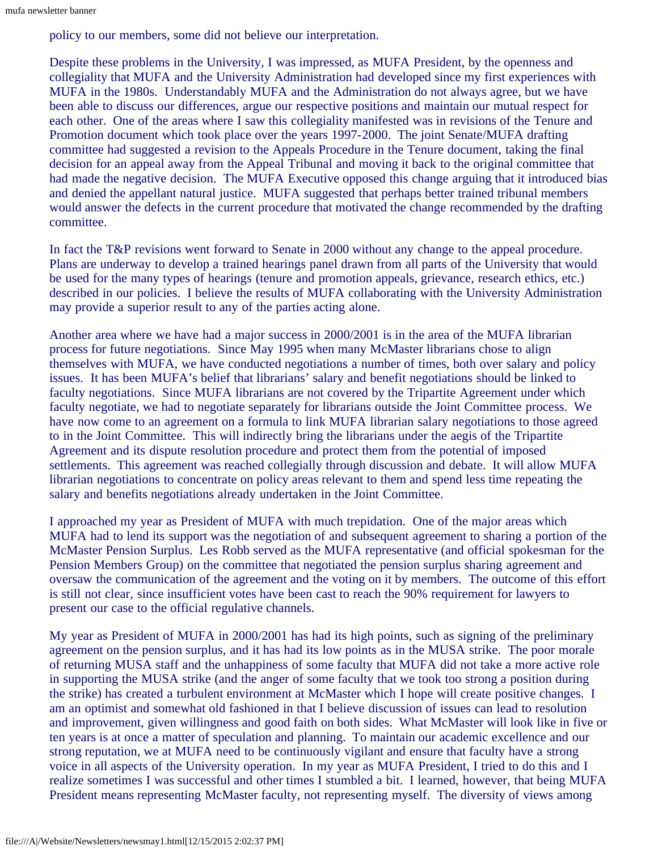policy to our members, some did not believe our interpretation.

Despite these problems in the University, I was impressed, as MUFA President, by the openness and collegiality that MUFA and the University Administration had developed since my first experiences with MUFA in the 1980s. Understandably MUFA and the Administration do not always agree, but we have been able to discuss our differences, argue our respective positions and maintain our mutual respect for each other. One of the areas where I saw this collegiality manifested was in revisions of the Tenure and Promotion document which took place over the years 1997-2000. The joint Senate/MUFA drafting committee had suggested a revision to the Appeals Procedure in the Tenure document, taking the final decision for an appeal away from the Appeal Tribunal and moving it back to the original committee that had made the negative decision. The MUFA Executive opposed this change arguing that it introduced bias and denied the appellant natural justice. MUFA suggested that perhaps better trained tribunal members would answer the defects in the current procedure that motivated the change recommended by the drafting committee.

In fact the T&P revisions went forward to Senate in 2000 without any change to the appeal procedure. Plans are underway to develop a trained hearings panel drawn from all parts of the University that would be used for the many types of hearings (tenure and promotion appeals, grievance, research ethics, etc.) described in our policies. I believe the results of MUFA collaborating with the University Administration may provide a superior result to any of the parties acting alone.

Another area where we have had a major success in 2000/2001 is in the area of the MUFA librarian process for future negotiations. Since May 1995 when many McMaster librarians chose to align themselves with MUFA, we have conducted negotiations a number of times, both over salary and policy issues. It has been MUFA's belief that librarians' salary and benefit negotiations should be linked to faculty negotiations. Since MUFA librarians are not covered by the Tripartite Agreement under which faculty negotiate, we had to negotiate separately for librarians outside the Joint Committee process. We have now come to an agreement on a formula to link MUFA librarian salary negotiations to those agreed to in the Joint Committee. This will indirectly bring the librarians under the aegis of the Tripartite Agreement and its dispute resolution procedure and protect them from the potential of imposed settlements. This agreement was reached collegially through discussion and debate. It will allow MUFA librarian negotiations to concentrate on policy areas relevant to them and spend less time repeating the salary and benefits negotiations already undertaken in the Joint Committee.

I approached my year as President of MUFA with much trepidation. One of the major areas which MUFA had to lend its support was the negotiation of and subsequent agreement to sharing a portion of the McMaster Pension Surplus. Les Robb served as the MUFA representative (and official spokesman for the Pension Members Group) on the committee that negotiated the pension surplus sharing agreement and oversaw the communication of the agreement and the voting on it by members. The outcome of this effort is still not clear, since insufficient votes have been cast to reach the 90% requirement for lawyers to present our case to the official regulative channels.

My year as President of MUFA in 2000/2001 has had its high points, such as signing of the preliminary agreement on the pension surplus, and it has had its low points as in the MUSA strike. The poor morale of returning MUSA staff and the unhappiness of some faculty that MUFA did not take a more active role in supporting the MUSA strike (and the anger of some faculty that we took too strong a position during the strike) has created a turbulent environment at McMaster which I hope will create positive changes. I am an optimist and somewhat old fashioned in that I believe discussion of issues can lead to resolution and improvement, given willingness and good faith on both sides. What McMaster will look like in five or ten years is at once a matter of speculation and planning. To maintain our academic excellence and our strong reputation, we at MUFA need to be continuously vigilant and ensure that faculty have a strong voice in all aspects of the University operation. In my year as MUFA President, I tried to do this and I realize sometimes I was successful and other times I stumbled a bit. I learned, however, that being MUFA President means representing McMaster faculty, not representing myself. The diversity of views among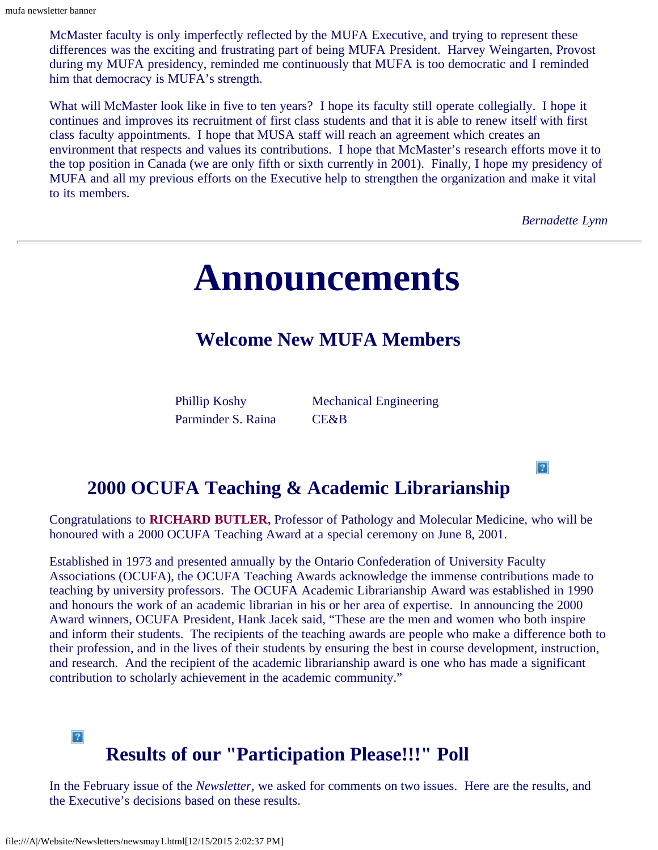McMaster faculty is only imperfectly reflected by the MUFA Executive, and trying to represent these differences was the exciting and frustrating part of being MUFA President. Harvey Weingarten, Provost during my MUFA presidency, reminded me continuously that MUFA is too democratic and I reminded him that democracy is MUFA's strength.

<span id="page-4-0"></span>What will McMaster look like in five to ten years? I hope its faculty still operate collegially. I hope it continues and improves its recruitment of first class students and that it is able to renew itself with first class faculty appointments. I hope that MUSA staff will reach an agreement which creates an environment that respects and values its contributions. I hope that McMaster's research efforts move it to the top position in Canada (we are only fifth or sixth currently in 2001). Finally, I hope my presidency of MUFA and all my previous efforts on the Executive help to strengthen the organization and make it vital to its members.

*Bernadette Lynn*

 $|2|$ 

# **Announcements**

## **Welcome New MUFA Members**

Parminder S. Raina CE&B

Phillip Koshy Mechanical Engineering

## **2000 OCUFA Teaching & Academic Librarianship**

Congratulations to **RICHARD BUTLER,** Professor of Pathology and Molecular Medicine, who will be honoured with a 2000 OCUFA Teaching Award at a special ceremony on June 8, 2001.

Established in 1973 and presented annually by the Ontario Confederation of University Faculty Associations (OCUFA), the OCUFA Teaching Awards acknowledge the immense contributions made to teaching by university professors. The OCUFA Academic Librarianship Award was established in 1990 and honours the work of an academic librarian in his or her area of expertise. In announcing the 2000 Award winners, OCUFA President, Hank Jacek said, "These are the men and women who both inspire and inform their students. The recipients of the teaching awards are people who make a difference both to their profession, and in the lives of their students by ensuring the best in course development, instruction, and research. And the recipient of the academic librarianship award is one who has made a significant contribution to scholarly achievement in the academic community."

## $|2\rangle$ **Results of our "Participation Please!!!" Poll**

In the February issue of the *Newsletter,* we asked for comments on two issues. Here are the results, and the Executive's decisions based on these results.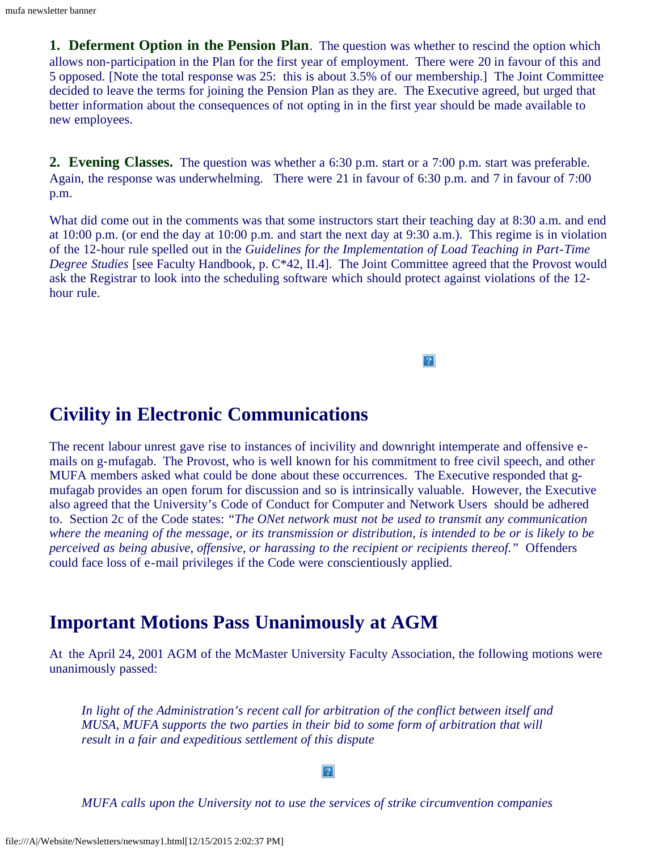**1. Deferment Option in the Pension Plan.** The question was whether to rescind the option which allows non-participation in the Plan for the first year of employment. There were 20 in favour of this and 5 opposed. [Note the total response was 25: this is about 3.5% of our membership.] The Joint Committee decided to leave the terms for joining the Pension Plan as they are. The Executive agreed, but urged that better information about the consequences of not opting in in the first year should be made available to new employees.

**2. Evening Classes.** The question was whether a 6:30 p.m. start or a 7:00 p.m. start was preferable. Again, the response was underwhelming. There were 21 in favour of 6:30 p.m. and 7 in favour of 7:00 p.m.

What did come out in the comments was that some instructors start their teaching day at 8:30 a.m. and end at 10:00 p.m. (or end the day at 10:00 p.m. and start the next day at 9:30 a.m.). This regime is in violation of the 12-hour rule spelled out in the *Guidelines for the Implementation of Load Teaching in Part-Time Degree Studies* [see Faculty Handbook, p. C\*42, II.4]. The Joint Committee agreed that the Provost would ask the Registrar to look into the scheduling software which should protect against violations of the 12 hour rule.

 $\overline{?}$ 

**Civility in Electronic Communications**

The recent labour unrest gave rise to instances of incivility and downright intemperate and offensive emails on g-mufagab. The Provost, who is well known for his commitment to free civil speech, and other MUFA members asked what could be done about these occurrences. The Executive responded that gmufagab provides an open forum for discussion and so is intrinsically valuable. However, the Executive also agreed that the University's Code of Conduct for Computer and Network Users should be adhered to. Section 2c of the Code states: *"The ONet network must not be used to transmit any communication where the meaning of the message, or its transmission or distribution, is intended to be or is likely to be perceived as being abusive, offensive, or harassing to the recipient or recipients thereof."* Offenders could face loss of e-mail privileges if the Code were conscientiously applied.

## **Important Motions Pass Unanimously at AGM**

At the April 24, 2001 AGM of the McMaster University Faculty Association, the following motions were unanimously passed:

*In light of the Administration's recent call for arbitration of the conflict between itself and MUSA, MUFA supports the two parties in their bid to some form of arbitration that will result in a fair and expeditious settlement of this dispute*

 $\overline{?}$ 

*MUFA calls upon the University not to use the services of strike circumvention companies*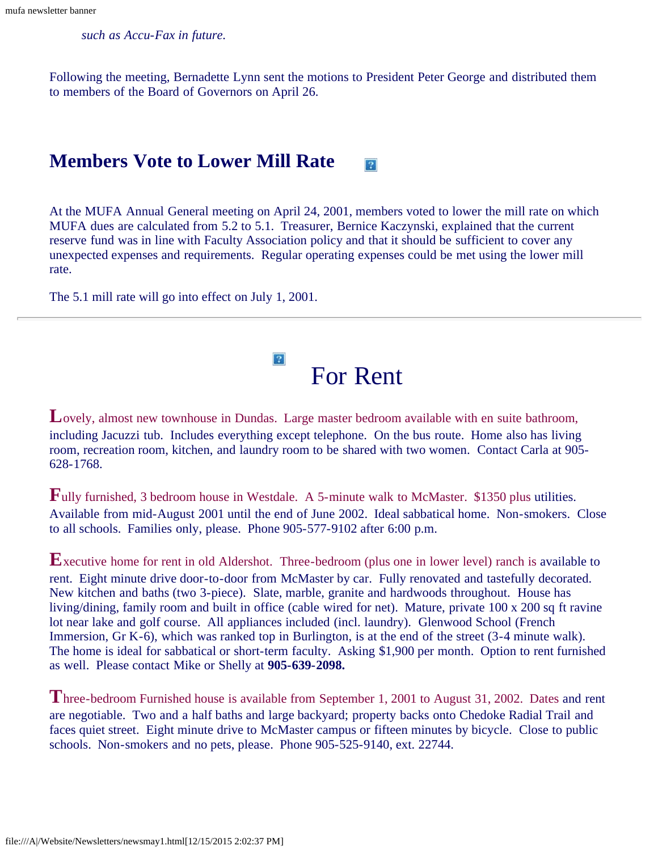*such as Accu-Fax in future.*

Following the meeting, Bernadette Lynn sent the motions to President Peter George and distributed them to members of the Board of Governors on April 26.

#### **Members Vote to Lower Mill Rate**  $|2|$

At the MUFA Annual General meeting on April 24, 2001, members voted to lower the mill rate on which MUFA dues are calculated from 5.2 to 5.1. Treasurer, Bernice Kaczynski, explained that the current reserve fund was in line with Faculty Association policy and that it should be sufficient to cover any unexpected expenses and requirements. Regular operating expenses could be met using the lower mill rate.

The 5.1 mill rate will go into effect on July 1, 2001.



<span id="page-6-0"></span>Lovely, almost new townhouse in Dundas. Large master bedroom available with en suite bathroom, including Jacuzzi tub. Includes everything except telephone. On the bus route. Home also has living room, recreation room, kitchen, and laundry room to be shared with two women. Contact Carla at 905- 628-1768.

**F**ully furnished, 3 bedroom house in Westdale. A 5-minute walk to McMaster. \$1350 plus utilities. Available from mid-August 2001 until the end of June 2002. Ideal sabbatical home. Non-smokers. Close to all schools. Families only, please. Phone 905-577-9102 after 6:00 p.m.

**E**xecutive home for rent in old Aldershot. Three-bedroom (plus one in lower level) ranch is available to rent. Eight minute drive door-to-door from McMaster by car. Fully renovated and tastefully decorated. New kitchen and baths (two 3-piece). Slate, marble, granite and hardwoods throughout. House has living/dining, family room and built in office (cable wired for net). Mature, private 100 x 200 sq ft ravine lot near lake and golf course. All appliances included (incl. laundry). Glenwood School (French Immersion, Gr K-6), which was ranked top in Burlington, is at the end of the street (3-4 minute walk). The home is ideal for sabbatical or short-term faculty. Asking \$1,900 per month. Option to rent furnished as well. Please contact Mike or Shelly at **905-639-2098.**

**T**hree-bedroom Furnished house is available from September 1, 2001 to August 31, 2002. Dates and rent are negotiable. Two and a half baths and large backyard; property backs onto Chedoke Radial Trail and faces quiet street. Eight minute drive to McMaster campus or fifteen minutes by bicycle. Close to public schools. Non-smokers and no pets, please. Phone 905-525-9140, ext. 22744.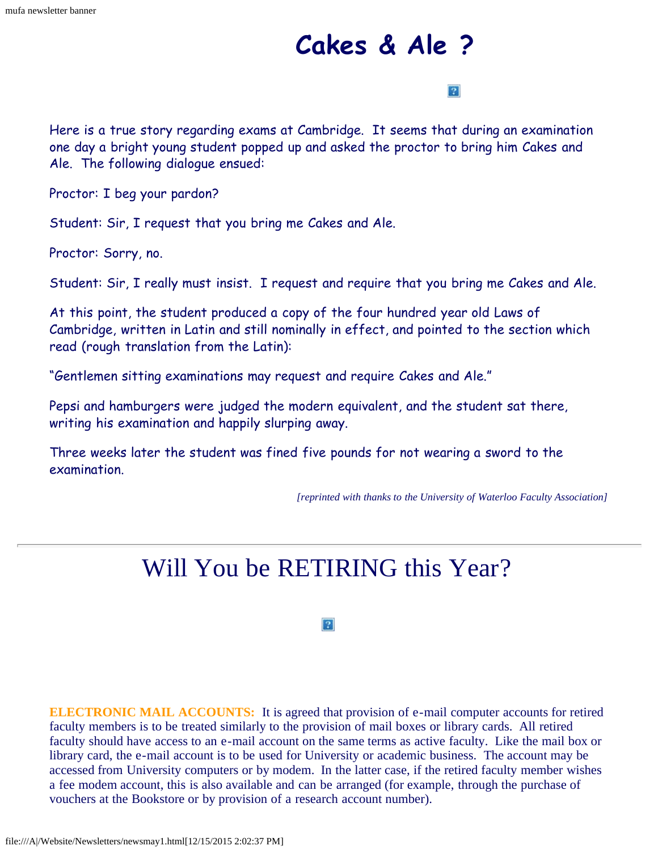# **Cakes & Ale ?**

### $|2|$

<span id="page-7-0"></span>Here is a true story regarding exams at Cambridge. It seems that during an examination one day a bright young student popped up and asked the proctor to bring him Cakes and Ale. The following dialogue ensued:

Proctor: I beg your pardon?

Student: Sir, I request that you bring me Cakes and Ale.

Proctor: Sorry, no.

Student: Sir, I really must insist. I request and require that you bring me Cakes and Ale.

At this point, the student produced a copy of the four hundred year old Laws of Cambridge, written in Latin and still nominally in effect, and pointed to the section which read (rough translation from the Latin):

"Gentlemen sitting examinations may request and require Cakes and Ale."

Pepsi and hamburgers were judged the modern equivalent, and the student sat there, writing his examination and happily slurping away.

<span id="page-7-1"></span>Three weeks later the student was fined five pounds for not wearing a sword to the examination.

*[reprinted with thanks to the University of Waterloo Faculty Association]*

# Will You be RETIRING this Year?

 $|2|$ 

**ELECTRONIC MAIL ACCOUNTS:** It is agreed that provision of e-mail computer accounts for retired faculty members is to be treated similarly to the provision of mail boxes or library cards. All retired faculty should have access to an e-mail account on the same terms as active faculty. Like the mail box or library card, the e-mail account is to be used for University or academic business. The account may be accessed from University computers or by modem. In the latter case, if the retired faculty member wishes a fee modem account, this is also available and can be arranged (for example, through the purchase of vouchers at the Bookstore or by provision of a research account number).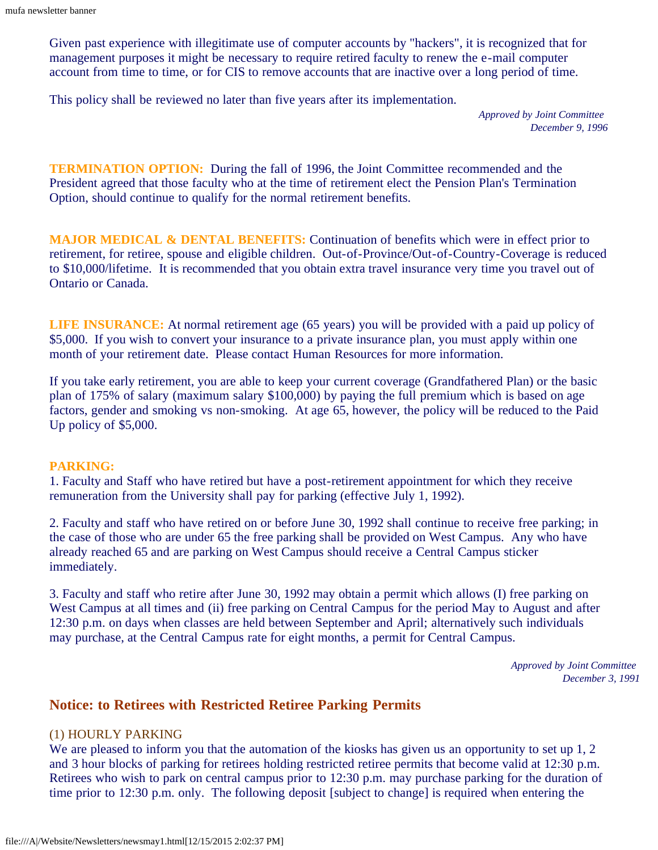Given past experience with illegitimate use of computer accounts by "hackers", it is recognized that for management purposes it might be necessary to require retired faculty to renew the e-mail computer account from time to time, or for CIS to remove accounts that are inactive over a long period of time.

This policy shall be reviewed no later than five years after its implementation.

*Approved by Joint Committee December 9, 1996*

**TERMINATION OPTION:** During the fall of 1996, the Joint Committee recommended and the President agreed that those faculty who at the time of retirement elect the Pension Plan's Termination Option, should continue to qualify for the normal retirement benefits.

**MAJOR MEDICAL & DENTAL BENEFITS:** Continuation of benefits which were in effect prior to retirement, for retiree, spouse and eligible children. Out-of-Province/Out-of-Country-Coverage is reduced to \$10,000/lifetime. It is recommended that you obtain extra travel insurance very time you travel out of Ontario or Canada.

**LIFE INSURANCE:** At normal retirement age (65 years) you will be provided with a paid up policy of \$5,000. If you wish to convert your insurance to a private insurance plan, you must apply within one month of your retirement date. Please contact Human Resources for more information.

If you take early retirement, you are able to keep your current coverage (Grandfathered Plan) or the basic plan of 175% of salary (maximum salary \$100,000) by paying the full premium which is based on age factors, gender and smoking vs non-smoking. At age 65, however, the policy will be reduced to the Paid Up policy of \$5,000.

### **PARKING:**

1. Faculty and Staff who have retired but have a post-retirement appointment for which they receive remuneration from the University shall pay for parking (effective July 1, 1992).

2. Faculty and staff who have retired on or before June 30, 1992 shall continue to receive free parking; in the case of those who are under 65 the free parking shall be provided on West Campus. Any who have already reached 65 and are parking on West Campus should receive a Central Campus sticker immediately.

3. Faculty and staff who retire after June 30, 1992 may obtain a permit which allows (I) free parking on West Campus at all times and (ii) free parking on Central Campus for the period May to August and after 12:30 p.m. on days when classes are held between September and April; alternatively such individuals may purchase, at the Central Campus rate for eight months, a permit for Central Campus.

> *Approved by Joint Committee December 3, 1991*

### **Notice: to Retirees with Restricted Retiree Parking Permits**

### (1) HOURLY PARKING

We are pleased to inform you that the automation of the kiosks has given us an opportunity to set up 1, 2 and 3 hour blocks of parking for retirees holding restricted retiree permits that become valid at 12:30 p.m. Retirees who wish to park on central campus prior to 12:30 p.m. may purchase parking for the duration of time prior to 12:30 p.m. only. The following deposit [subject to change] is required when entering the